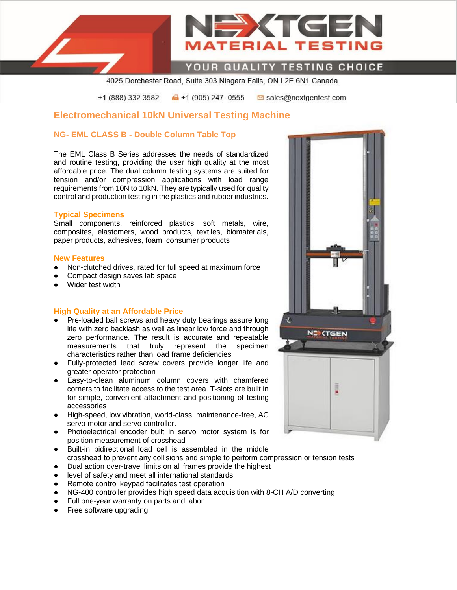

*IATERIAL TESTIN* 

XTC

4025 Dorchester Road, Suite 303 Niagara Falls, ON L2E 6N1 Canada

+1 (888) 332 3582  $\bigoplus$  +1 (905) 247-0555 **⊠** sales@nextgentest.com

## **Electromechanical 10kN Universal Testing Machine**

## **NG- EML CLASS B - Double Column Table Top**

The EML Class B Series addresses the needs of standardized and routine testing, providing the user high quality at the most affordable price. The dual column testing systems are suited for tension and/or compression applications with load range requirements from 10N to 10kN. They are typically used for quality control and production testing in the plastics and rubber industries.

#### **Typical Specimens**

Small components, reinforced plastics, soft metals, wire, composites, elastomers, wood products, textiles, biomaterials, paper products, adhesives, foam, consumer products

#### **New Features**

- Non-clutched drives, rated for full speed at maximum force
- Compact design saves lab space
- Wider test width

#### **High Quality at an Affordable Price**

- Pre-loaded ball screws and heavy duty bearings assure long life with zero backlash as well as linear low force and through zero performance. The result is accurate and repeatable measurements that truly represent the specimen characteristics rather than load frame deficiencies
- Fully-protected lead screw covers provide longer life and greater operator protection
- Easy-to-clean aluminum column covers with chamfered corners to facilitate access to the test area. T-slots are built in for simple, convenient attachment and positioning of testing accessories
- High-speed, low vibration, world-class, maintenance-free, AC servo motor and servo controller.
- Photoelectrical encoder built in servo motor system is for position measurement of crosshead
- Built-in bidirectional load cell is assembled in the middle crosshead to prevent any collisions and simple to perform compression or tension tests
- Dual action over-travel limits on all frames provide the highest
- level of safety and meet all international standards
- Remote control keypad facilitates test operation
- NG-400 controller provides high speed data acquisition with 8-CH A/D converting
- Full one-year warranty on parts and labor
- Free software upgrading

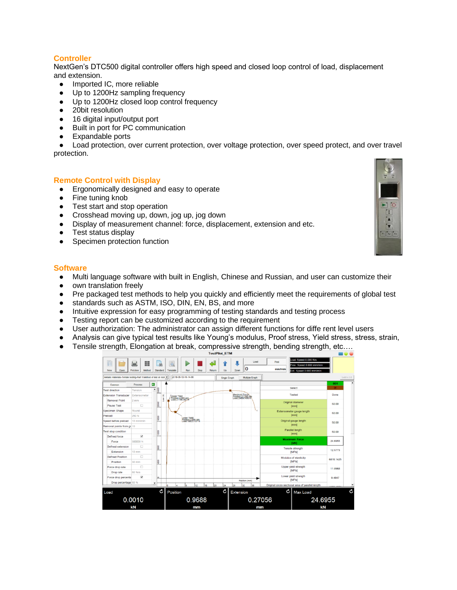## **Controller**

NextGen's DTC500 digital controller offers high speed and closed loop control of load, displacement and extension.

- Imported IC, more reliable
- Up to 1200Hz sampling frequency
- Up to 1200Hz closed loop control frequency
- 20bit resolution
- 16 digital input/output port
- Built in port for PC communication
- Expandable ports

• Load protection, over current protection, over voltage protection, over speed protect, and over travel protection.

#### **Remote Control with Display**

- Ergonomically designed and easy to operate
- Fine tuning knob
- Test start and stop operation
- Crosshead moving up, down, jog up, jog down
- Display of measurement channel: force, displacement, extension and etc.
- Test status display
- Specimen protection function

#### **Software**

- Multi language software with built in English, Chinese and Russian, and user can customize their
- own translation freely
- Pre packaged test methods to help you quickly and efficiently meet the requirements of global test
- standards such as ASTM, ISO, DIN, EN, BS, and more
- Intuitive expression for easy programming of testing standards and testing process
- Testing report can be customized according to the requirement
- User authorization: The administrator can assign different functions for diffe rent level users
- Analysis can give typical test results like Young's modulus, Proof stress, Yield stress, stress, strain,
- Tensile strength, Elongation at break, compressive strength, bending strength, etc….



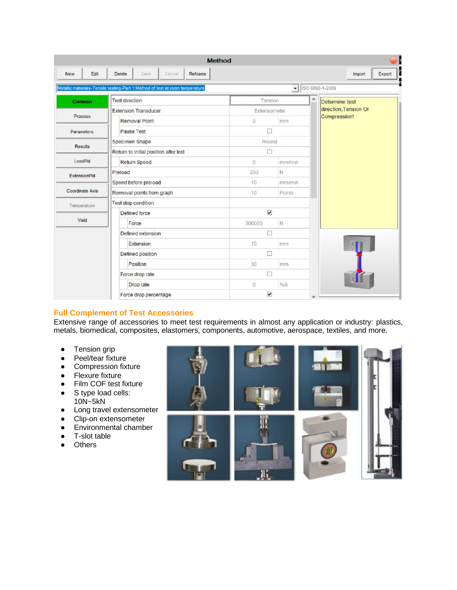|                     | <b>Method</b>                                                                |                      |                                                                |  |  |
|---------------------|------------------------------------------------------------------------------|----------------------|----------------------------------------------------------------|--|--|
| <b>New</b><br>Edit  | <b>Delete</b><br>Save<br>Cancel<br>ReName                                    |                      | Export<br>Import                                               |  |  |
|                     | Metallic materials-Tensile testing-Part 1:Method of test at room temperature |                      | $\bullet$   ISO 6892-1-2009                                    |  |  |
| Common              | <b>Test direction</b>                                                        | Tension              | $\hat{\phantom{a}}$<br>Determine test<br>direction, Tension Or |  |  |
|                     | <b>Extension Transducer</b>                                                  | Extensometer         |                                                                |  |  |
| Process             | Removal Point                                                                | $\overline{2}$<br>mm | Compression!                                                   |  |  |
| Parameters          | Pause Test                                                                   | П                    |                                                                |  |  |
|                     | Specimen Shape                                                               | Round                |                                                                |  |  |
| <b>Results</b>      | Return to initial position after test                                        | П                    |                                                                |  |  |
| LoadPid             | <b>Return Speed</b>                                                          | $\Omega$<br>mm/min   |                                                                |  |  |
| <b>ExtensionPid</b> | Preload                                                                      | N<br>250             |                                                                |  |  |
|                     | Speed before preload                                                         | 10<br>mm/min         |                                                                |  |  |
| Coordinate Axis     | Removal points from graph                                                    | Points<br>10         |                                                                |  |  |
| Temperature         | Test stop condition                                                          |                      |                                                                |  |  |
|                     | $\overline{\mathbf{v}}$<br>Defined force                                     |                      |                                                                |  |  |
| Yield               | Force                                                                        | N<br>300000          |                                                                |  |  |
|                     | Defined extension                                                            | п                    |                                                                |  |  |
|                     | Extension                                                                    | 10<br>mm             |                                                                |  |  |
|                     | Defined position                                                             | $\Box$               |                                                                |  |  |
|                     | Position                                                                     | 30<br>mm             |                                                                |  |  |
|                     | Force drop rate                                                              | П                    |                                                                |  |  |
|                     | Drop rate                                                                    | $%$ /s<br>$\circ$    |                                                                |  |  |
|                     | Force drop percentage                                                        | $\blacktriangledown$ | $\checkmark$                                                   |  |  |

## **Full Complement of Test Accessories**

Extensive range of accessories to meet test requirements in almost any application or industry: plastics, metals, biomedical, composites, elastomers, components, automotive, aerospace, textiles, and more.

- Tension grip
- Peel/tear fixture
- Compression fixture
- Flexure fixture
- Film COF test fixture
- S type load cells: 10N~5kN
- Long travel extensometer
- Clip-on extensometer
- Environmental chamber
- T-slot table
- Others